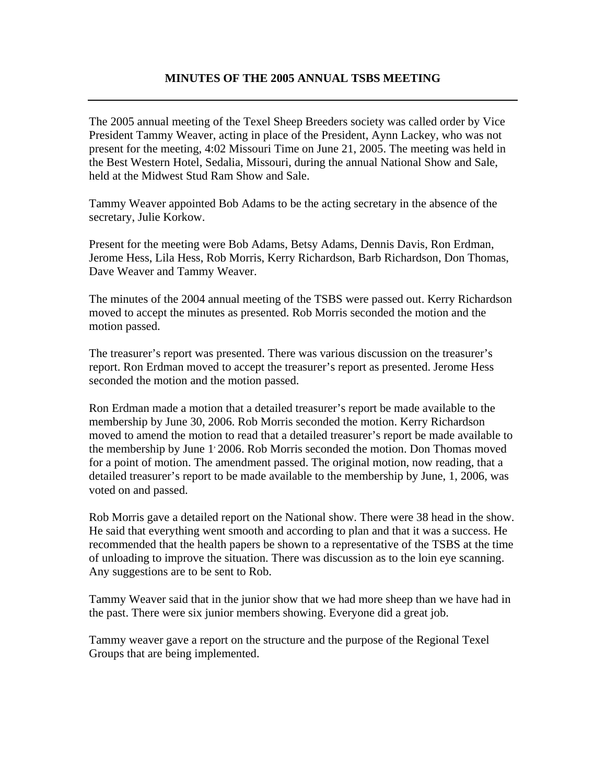## **MINUTES OF THE 2005 ANNUAL TSBS MEETING**

The 2005 annual meeting of the Texel Sheep Breeders society was called order by Vice President Tammy Weaver, acting in place of the President, Aynn Lackey, who was not present for the meeting, 4:02 Missouri Time on June 21, 2005. The meeting was held in the Best Western Hotel, Sedalia, Missouri, during the annual National Show and Sale, held at the Midwest Stud Ram Show and Sale.

Tammy Weaver appointed Bob Adams to be the acting secretary in the absence of the secretary, Julie Korkow.

Present for the meeting were Bob Adams, Betsy Adams, Dennis Davis, Ron Erdman, Jerome Hess, Lila Hess, Rob Morris, Kerry Richardson, Barb Richardson, Don Thomas, Dave Weaver and Tammy Weaver.

The minutes of the 2004 annual meeting of the TSBS were passed out. Kerry Richardson moved to accept the minutes as presented. Rob Morris seconded the motion and the motion passed.

The treasurer's report was presented. There was various discussion on the treasurer's report. Ron Erdman moved to accept the treasurer's report as presented. Jerome Hess seconded the motion and the motion passed.

Ron Erdman made a motion that a detailed treasurer's report be made available to the membership by June 30, 2006. Rob Morris seconded the motion. Kerry Richardson moved to amend the motion to read that a detailed treasurer's report be made available to the membership by June 1, 2006. Rob Morris seconded the motion. Don Thomas moved for a point of motion. The amendment passed. The original motion, now reading, that a detailed treasurer's report to be made available to the membership by June, 1, 2006, was voted on and passed.

Rob Morris gave a detailed report on the National show. There were 38 head in the show. He said that everything went smooth and according to plan and that it was a success. He recommended that the health papers be shown to a representative of the TSBS at the time of unloading to improve the situation. There was discussion as to the loin eye scanning. Any suggestions are to be sent to Rob.

Tammy Weaver said that in the junior show that we had more sheep than we have had in the past. There were six junior members showing. Everyone did a great job.

Tammy weaver gave a report on the structure and the purpose of the Regional Texel Groups that are being implemented.